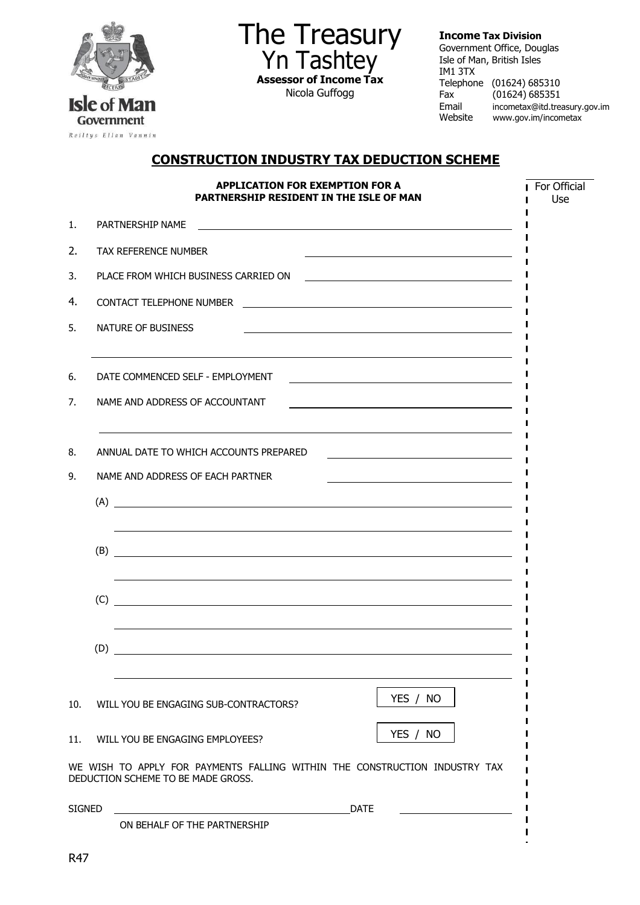

The Treasury Yn Tashtey **Assessor of Income Tax** Nicola Guffogg

**Income Tax Division** 

Government Office, Douglas Isle of Man, British Isles IM1 3TX Telephone (01624) 685310 Fax (01624) 685351 Email [incometax@itd.treasury.gov.im](mailto:incometax@itd.treasury.gov.im) Website [www.gov.im/incometax](http://www.gov.im/incometax)

# **CONSTRUCTION INDUSTRY TAX DEDUCTION SCHEME**

| <b>APPLICATION FOR EXEMPTION FOR A</b><br>PARTNERSHIP RESIDENT IN THE ISLE OF MAN |                                                                                                                                                          |                                                                                                                                                         |  |
|-----------------------------------------------------------------------------------|----------------------------------------------------------------------------------------------------------------------------------------------------------|---------------------------------------------------------------------------------------------------------------------------------------------------------|--|
| 1.                                                                                |                                                                                                                                                          |                                                                                                                                                         |  |
| 2.                                                                                |                                                                                                                                                          | <b>TAX REFERENCE NUMBER</b>                                                                                                                             |  |
| 3.                                                                                |                                                                                                                                                          | PLACE FROM WHICH BUSINESS CARRIED ON                                                                                                                    |  |
| 4.                                                                                |                                                                                                                                                          |                                                                                                                                                         |  |
| 5.                                                                                |                                                                                                                                                          | NATURE OF BUSINESS                                                                                                                                      |  |
| 6.                                                                                |                                                                                                                                                          | DATE COMMENCED SELF - EMPLOYMENT<br><u> 1989 - Johann Barbara, martxa alemaniar amerikan personal (h. 1989).</u>                                        |  |
| 7.                                                                                |                                                                                                                                                          | NAME AND ADDRESS OF ACCOUNTANT<br><u> 1989 - Johann Barn, mars eta bainar eta bat erroman erroman erroman erroman erroman erroman erroman erroman e</u> |  |
| 8.                                                                                |                                                                                                                                                          | ANNUAL DATE TO WHICH ACCOUNTS PREPARED                                                                                                                  |  |
| 9.                                                                                | NAME AND ADDRESS OF EACH PARTNER<br><u> 1999 - Johann John Stein, markin fan it ferskearre fan it ferskearre fan it ferskearre fan it ferskearre fan</u> |                                                                                                                                                         |  |
|                                                                                   |                                                                                                                                                          | $(A)$ $\overline{\phantom{a}}$                                                                                                                          |  |
|                                                                                   |                                                                                                                                                          | ,我们也不会有什么。""我们的人,我们也不会有什么?""我们的人,我们也不会有什么?""我们的人,我们的人,我们的人,我们的人,我们的人,我们的人,我们的人,我                                                                        |  |
|                                                                                   |                                                                                                                                                          | 的,我们也不会有什么。""我们的人,我们也不会有什么?""我们的人,我们也不会有什么?""我们的人,我们也不会有什么?""我们的人,我们也不会有什么?""我们的<br>(C)                                                                 |  |
|                                                                                   |                                                                                                                                                          |                                                                                                                                                         |  |
| 10.                                                                               |                                                                                                                                                          | YES / NO<br>WILL YOU BE ENGAGING SUB-CONTRACTORS?                                                                                                       |  |
| 11.                                                                               |                                                                                                                                                          | YES / NO<br>WILL YOU BE ENGAGING EMPLOYEES?                                                                                                             |  |
|                                                                                   |                                                                                                                                                          | WE WISH TO APPLY FOR PAYMENTS FALLING WITHIN THE CONSTRUCTION INDUSTRY TAX<br>DEDUCTION SCHEME TO BE MADE GROSS.                                        |  |
| <b>SIGNED</b>                                                                     |                                                                                                                                                          | <b>DATE</b>                                                                                                                                             |  |
|                                                                                   |                                                                                                                                                          | ON BEHALF OF THE PARTNERSHIP                                                                                                                            |  |